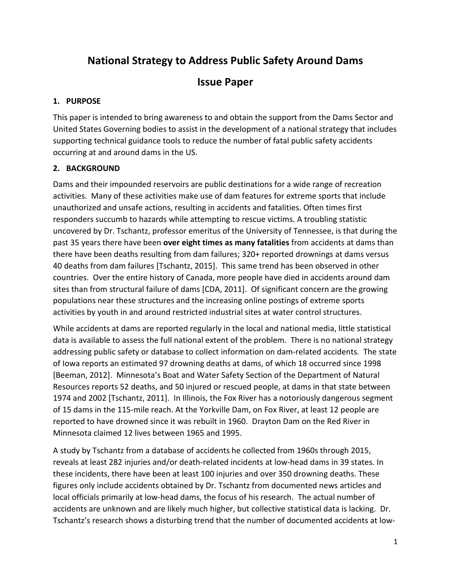# **National Strategy to Address Public Safety Around Dams**

# **Issue Paper**

## **1. PURPOSE**

This paper is intended to bring awareness to and obtain the support from the Dams Sector and United States Governing bodies to assist in the development of a national strategy that includes supporting technical guidance tools to reduce the number of fatal public safety accidents occurring at and around dams in the US.

# **2. BACKGROUND**

Dams and their impounded reservoirs are public destinations for a wide range of recreation activities. Many of these activities make use of dam features for extreme sports that include unauthorized and unsafe actions, resulting in accidents and fatalities. Often times first responders succumb to hazards while attempting to rescue victims. A troubling statistic uncovered by Dr. Tschantz, professor emeritus of the University of Tennessee, is that during the past 35 years there have been **over eight times as many fatalities** from accidents at dams than there have been deaths resulting from dam failures; 320+ reported drownings at dams versus 40 deaths from dam failures [Tschantz, 2015]. This same trend has been observed in other countries. Over the entire history of Canada, more people have died in accidents around dam sites than from structural failure of dams [CDA, 2011]. Of significant concern are the growing populations near these structures and the increasing online postings of extreme sports activities by youth in and around restricted industrial sites at water control structures.

While accidents at dams are reported regularly in the local and national media, little statistical data is available to assess the full national extent of the problem. There is no national strategy addressing public safety or database to collect information on dam-related accidents. The state of Iowa reports an estimated 97 drowning deaths at dams, of which 18 occurred since 1998 [Beeman, 2012]. Minnesota's Boat and Water Safety Section of the Department of Natural Resources reports 52 deaths, and 50 injured or rescued people, at dams in that state between 1974 and 2002 [Tschantz, 2011]. In Illinois, the Fox River has a notoriously dangerous segment of 15 dams in the 115-mile reach. At the Yorkville Dam, on Fox River, at least 12 people are reported to have drowned since it was rebuilt in 1960. Drayton Dam on the Red River in Minnesota claimed 12 lives between 1965 and 1995.

A study by Tschantz from a database of accidents he collected from 1960s through 2015, reveals at least 282 injuries and/or death-related incidents at low-head dams in 39 states. In these incidents, there have been at least 100 injuries and over 350 drowning deaths. These figures only include accidents obtained by Dr. Tschantz from documented news articles and local officials primarily at low-head dams, the focus of his research. The actual number of accidents are unknown and are likely much higher, but collective statistical data is lacking. Dr. Tschantz's research shows a disturbing trend that the number of documented accidents at low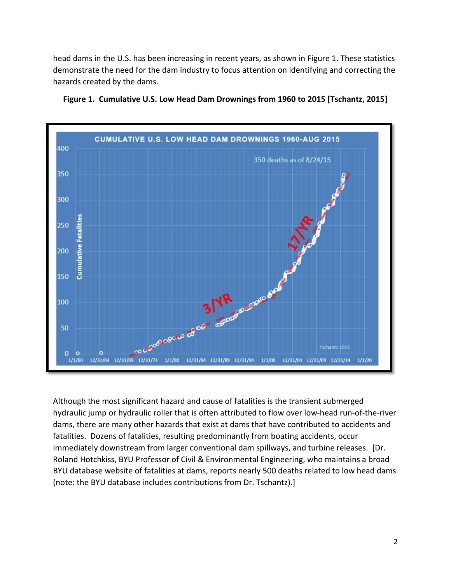head dams in the U.S. has been increasing in recent years, as shown in Figure 1. These statistics demonstrate the need for the dam industry to focus attention on identifying and correcting the hazards created by the dams.



**Figure 1. Cumulative U.S. Low Head Dam Drownings from 1960 to 2015 [Tschantz, 2015]**

Although the most significant hazard and cause of fatalities is the transient submerged hydraulic jump or hydraulic roller that is often attributed to flow over low-head run-of-the-river dams, there are many other hazards that exist at dams that have contributed to accidents and fatalities. Dozens of fatalities, resulting predominantly from boating accidents, occur immediately downstream from larger conventional dam spillways, and turbine releases. [Dr. Roland Hotchkiss, BYU Professor of Civil & Environmental Engineering, who maintains a broad BYU database website of fatalities at dams, reports nearly 500 deaths related to low head dams (note: the BYU database includes contributions from Dr. Tschantz).]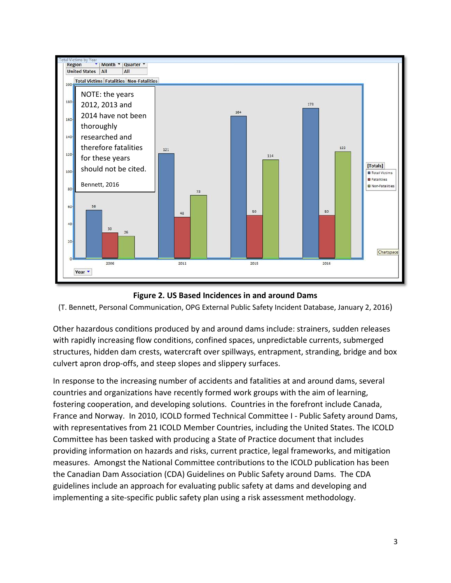



(T. Bennett, Personal Communication, OPG External Public Safety Incident Database, January 2, 2016)

Other hazardous conditions produced by and around dams include: strainers, sudden releases with rapidly increasing flow conditions, confined spaces, unpredictable currents, submerged structures, hidden dam crests, watercraft over spillways, entrapment, stranding, bridge and box culvert apron drop-offs, and steep slopes and slippery surfaces.

In response to the increasing number of accidents and fatalities at and around dams, several countries and organizations have recently formed work groups with the aim of learning, fostering cooperation, and developing solutions. Countries in the forefront include Canada, France and Norway. In 2010, ICOLD formed Technical Committee I - Public Safety around Dams, with representatives from 21 ICOLD Member Countries, including the United States. The ICOLD Committee has been tasked with producing a State of Practice document that includes providing information on hazards and risks, current practice, legal frameworks, and mitigation measures. Amongst the National Committee contributions to the ICOLD publication has been the Canadian Dam Association (CDA) Guidelines on Public Safety around Dams. The CDA guidelines include an approach for evaluating public safety at dams and developing and implementing a site-specific public safety plan using a risk assessment methodology.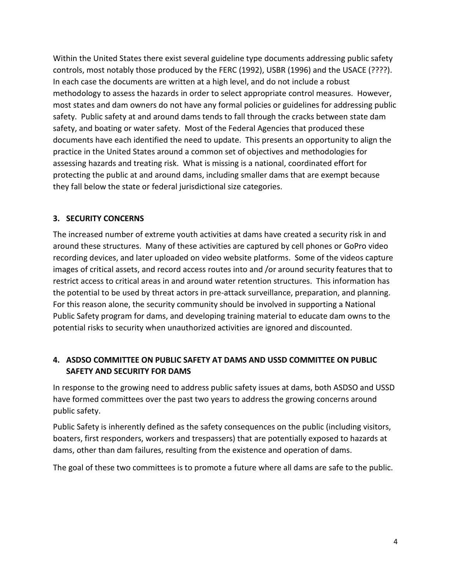Within the United States there exist several guideline type documents addressing public safety controls, most notably those produced by the FERC (1992), USBR (1996) and the USACE (????). In each case the documents are written at a high level, and do not include a robust methodology to assess the hazards in order to select appropriate control measures. However, most states and dam owners do not have any formal policies or guidelines for addressing public safety. Public safety at and around dams tends to fall through the cracks between state dam safety, and boating or water safety. Most of the Federal Agencies that produced these documents have each identified the need to update. This presents an opportunity to align the practice in the United States around a common set of objectives and methodologies for assessing hazards and treating risk. What is missing is a national, coordinated effort for protecting the public at and around dams, including smaller dams that are exempt because they fall below the state or federal jurisdictional size categories.

#### **3. SECURITY CONCERNS**

The increased number of extreme youth activities at dams have created a security risk in and around these structures. Many of these activities are captured by cell phones or GoPro video recording devices, and later uploaded on video website platforms. Some of the videos capture images of critical assets, and record access routes into and /or around security features that to restrict access to critical areas in and around water retention structures. This information has the potential to be used by threat actors in pre-attack surveillance, preparation, and planning. For this reason alone, the security community should be involved in supporting a National Public Safety program for dams, and developing training material to educate dam owns to the potential risks to security when unauthorized activities are ignored and discounted.

### **4. ASDSO COMMITTEE ON PUBLIC SAFETY AT DAMS AND USSD COMMITTEE ON PUBLIC SAFETY AND SECURITY FOR DAMS**

In response to the growing need to address public safety issues at dams, both ASDSO and USSD have formed committees over the past two years to address the growing concerns around public safety.

Public Safety is inherently defined as the safety consequences on the public (including visitors, boaters, first responders, workers and trespassers) that are potentially exposed to hazards at dams, other than dam failures, resulting from the existence and operation of dams.

The goal of these two committees is to promote a future where all dams are safe to the public.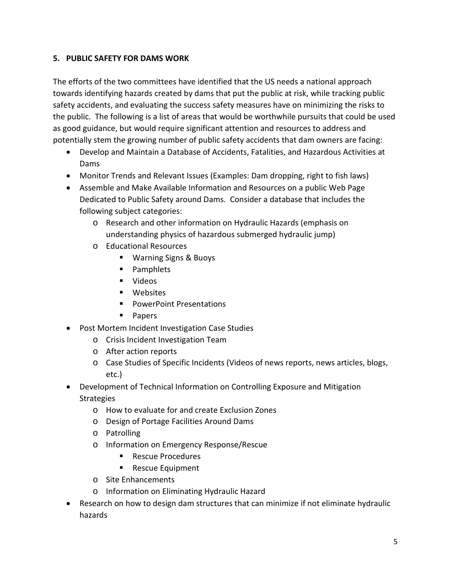#### **5. PUBLIC SAFETY FOR DAMS WORK**

The efforts of the two committees have identified that the US needs a national approach towards identifying hazards created by dams that put the public at risk, while tracking public safety accidents, and evaluating the success safety measures have on minimizing the risks to the public. The following is a list of areas that would be worthwhile pursuits that could be used as good guidance, but would require significant attention and resources to address and potentially stem the growing number of public safety accidents that dam owners are facing:

- Develop and Maintain a Database of Accidents, Fatalities, and Hazardous Activities at Dams
- Monitor Trends and Relevant Issues (Examples: Dam dropping, right to fish laws)
- Assemble and Make Available Information and Resources on a public Web Page Dedicated to Public Safety around Dams. Consider a database that includes the following subject categories:
	- o Research and other information on Hydraulic Hazards (emphasis on understanding physics of hazardous submerged hydraulic jump)
	- o Educational Resources
		- Warning Signs & Buoys
		- **Pamphlets**
		- Videos
		- **Nebsites**
		- **PowerPoint Presentations**
		- **Papers**
- Post Mortem Incident Investigation Case Studies
	- o Crisis Incident Investigation Team
	- o After action reports
	- o Case Studies of Specific Incidents (Videos of news reports, news articles, blogs, etc.)
- Development of Technical Information on Controlling Exposure and Mitigation **Strategies** 
	- o How to evaluate for and create Exclusion Zones
	- o Design of Portage Facilities Around Dams
	- o Patrolling
	- o Information on Emergency Response/Rescue
		- Rescue Procedures
		- Rescue Equipment
	- o Site Enhancements
	- o Information on Eliminating Hydraulic Hazard
- Research on how to design dam structures that can minimize if not eliminate hydraulic hazards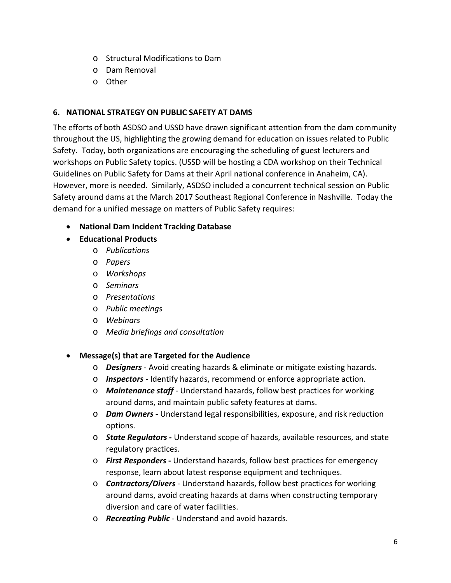- o Structural Modifications to Dam
- o Dam Removal
- o Other

#### **6. NATIONAL STRATEGY ON PUBLIC SAFETY AT DAMS**

The efforts of both ASDSO and USSD have drawn significant attention from the dam community throughout the US, highlighting the growing demand for education on issues related to Public Safety. Today, both organizations are encouraging the scheduling of guest lecturers and workshops on Public Safety topics. (USSD will be hosting a CDA workshop on their Technical Guidelines on Public Safety for Dams at their April national conference in Anaheim, CA). However, more is needed. Similarly, ASDSO included a concurrent technical session on Public Safety around dams at the March 2017 Southeast Regional Conference in Nashville. Today the demand for a unified message on matters of Public Safety requires:

- **National Dam Incident Tracking Database**
- **Educational Products**
	- o *Publications*
	- o *Papers*
	- o *Workshops*
	- o *Seminars*
	- o *Presentations*
	- o *Public meetings*
	- o *Webinars*
	- o *Media briefings and consultation*
- **Message(s) that are Targeted for the Audience** 
	- o *Designers* Avoid creating hazards & eliminate or mitigate existing hazards.
	- o *Inspectors* Identify hazards, recommend or enforce appropriate action.
	- o *Maintenance staff* Understand hazards, follow best practices for working around dams, and maintain public safety features at dams.
	- o *Dam Owners* Understand legal responsibilities, exposure, and risk reduction options.
	- o *State Regulators* **-** Understand scope of hazards, available resources, and state regulatory practices.
	- o *First Responders* **-** Understand hazards, follow best practices for emergency response, learn about latest response equipment and techniques.
	- o *Contractors/Divers* Understand hazards, follow best practices for working around dams, avoid creating hazards at dams when constructing temporary diversion and care of water facilities.
	- o *Recreating Public* Understand and avoid hazards.